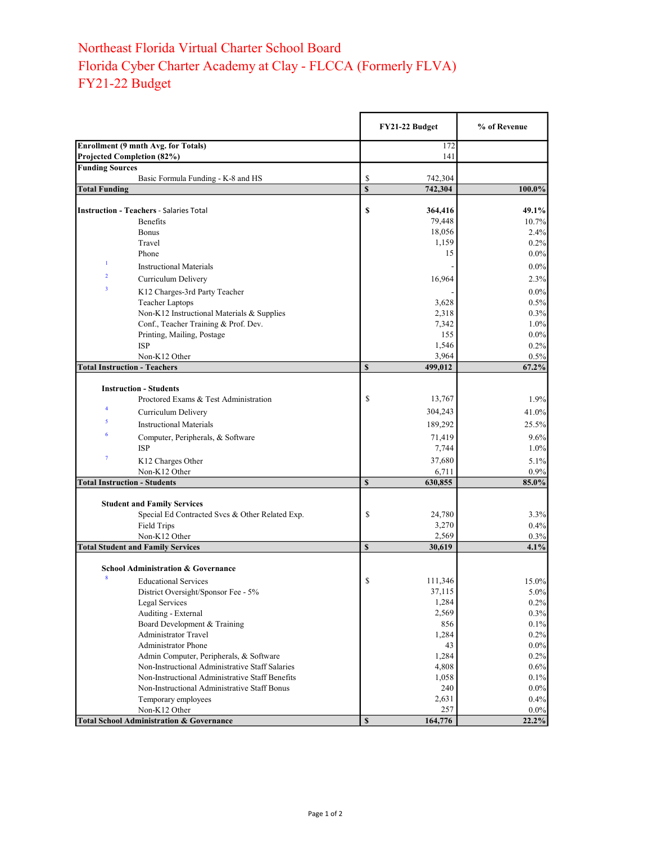## Northeast Florida Virtual Charter School Board Florida Cyber Charter Academy at Clay - FLCCA (Formerly FLVA) FY21-22 Budget

|                                                |                                                                      |              | FY21-22 Budget | % of Revenue |
|------------------------------------------------|----------------------------------------------------------------------|--------------|----------------|--------------|
| Enrollment (9 mnth Avg. for Totals)            |                                                                      |              | 172            |              |
| Projected Completion (82%)                     |                                                                      |              | 141            |              |
| <b>Funding Sources</b>                         |                                                                      |              |                |              |
|                                                | Basic Formula Funding - K-8 and HS                                   | \$           | 742,304        |              |
| <b>Total Funding</b>                           |                                                                      | $\mathbf S$  | 742,304        | 100.0%       |
| <b>Instruction - Teachers - Salaries Total</b> |                                                                      | \$           | 364,416        | 49.1%        |
|                                                | Benefits                                                             |              | 79,448         | 10.7%        |
|                                                | <b>Bonus</b>                                                         |              | 18,056         | 2.4%         |
|                                                | Travel                                                               |              | 1,159          | 0.2%         |
|                                                | Phone                                                                |              | 15             | $0.0\%$      |
| 1                                              | <b>Instructional Materials</b>                                       |              |                | $0.0\%$      |
| $\overline{2}$                                 | Curriculum Delivery                                                  |              | 16,964         | 2.3%         |
| 3                                              |                                                                      |              |                |              |
|                                                | K12 Charges-3rd Party Teacher                                        |              |                | $0.0\%$      |
|                                                | <b>Teacher Laptops</b><br>Non-K12 Instructional Materials & Supplies |              | 3,628          | 0.5%<br>0.3% |
|                                                | Conf., Teacher Training & Prof. Dev.                                 |              | 2,318<br>7,342 | 1.0%         |
|                                                | Printing, Mailing, Postage                                           |              | 155            | $0.0\%$      |
| <b>ISP</b>                                     |                                                                      |              | 1,546          | 0.2%         |
|                                                | Non-K12 Other                                                        |              | 3,964          | 0.5%         |
| <b>Total Instruction - Teachers</b>            |                                                                      | $\mathbf S$  | 499,012        | 67.2%        |
|                                                |                                                                      |              |                |              |
| <b>Instruction - Students</b>                  |                                                                      |              |                |              |
|                                                | Proctored Exams & Test Administration                                | \$           | 13,767         | 1.9%         |
| 4                                              | Curriculum Delivery                                                  |              | 304,243        | 41.0%        |
| 5                                              | <b>Instructional Materials</b>                                       |              | 189,292        | 25.5%        |
| 6                                              | Computer, Peripherals, & Software                                    |              | 71,419         | 9.6%         |
| <b>ISP</b>                                     |                                                                      |              | 7,744          | 1.0%         |
| $\boldsymbol{7}$                               | K12 Charges Other                                                    |              | 37,680         | 5.1%         |
|                                                | Non-K12 Other                                                        |              | 6,711          | 0.9%         |
| <b>Total Instruction - Students</b>            |                                                                      | $\mathbf S$  | 630,855        | 85.0%        |
|                                                |                                                                      |              |                |              |
|                                                | <b>Student and Family Services</b>                                   |              |                |              |
|                                                | Special Ed Contracted Svcs & Other Related Exp.                      | \$           | 24,780         | 3.3%         |
|                                                | <b>Field Trips</b>                                                   |              | 3,270          | 0.4%         |
|                                                | Non-K12 Other                                                        |              | 2,569          | 0.3%         |
| <b>Total Student and Family Services</b>       |                                                                      | $\mathbf S$  | 30,619         | 4.1%         |
|                                                |                                                                      |              |                |              |
| 8                                              | <b>School Administration &amp; Governance</b>                        |              |                |              |
|                                                | <b>Educational Services</b>                                          | \$           | 111,346        | 15.0%        |
|                                                | District Oversight/Sponsor Fee - 5%                                  |              | 37,115         | $5.0\%$      |
|                                                | Legal Services                                                       |              | 1,284          | 0.2%         |
|                                                | Auditing - External                                                  |              | 2,569          | 0.3%         |
|                                                | Board Development & Training<br><b>Administrator Travel</b>          |              | 856            | 0.1%<br>0.2% |
|                                                | <b>Administrator Phone</b>                                           |              | 1,284<br>43    | $0.0\%$      |
|                                                | Admin Computer, Peripherals, & Software                              |              | 1,284          | 0.2%         |
|                                                | Non-Instructional Administrative Staff Salaries                      |              | 4,808          | 0.6%         |
|                                                | Non-Instructional Administrative Staff Benefits                      |              | 1,058          | $0.1\%$      |
|                                                | Non-Instructional Administrative Staff Bonus                         |              | 240            | $0.0\%$      |
|                                                | Temporary employees                                                  |              | 2,631          | 0.4%         |
|                                                | Non-K12 Other                                                        |              | 257            | $0.0\%$      |
|                                                | <b>Total School Administration &amp; Governance</b>                  | $\mathbb{S}$ | 164,776        | $22.2\%$     |